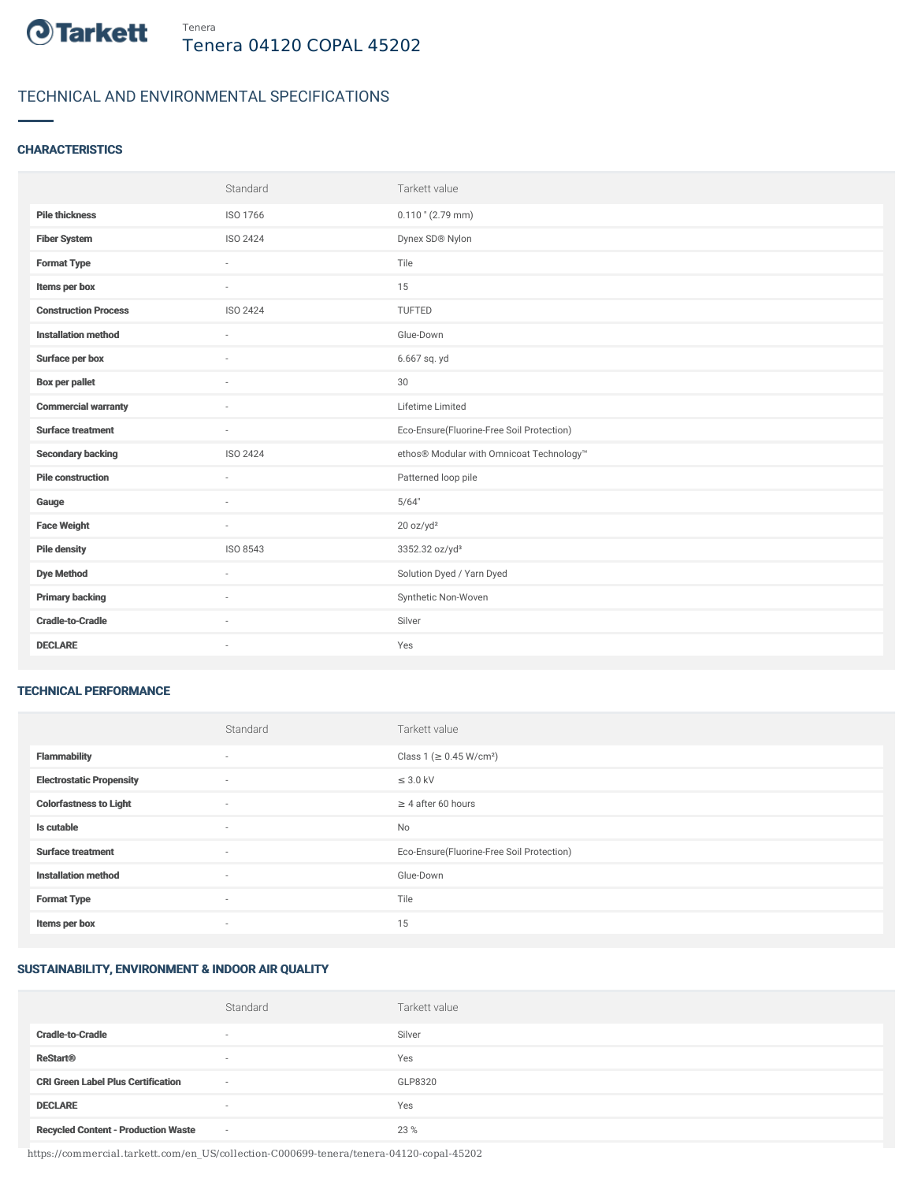

# TECHNICAL AND ENVIRONMENTAL SPECIFICATIONS

## **CHARACTERISTICS**

|                             | Standard                 | Tarkett value                             |
|-----------------------------|--------------------------|-------------------------------------------|
| <b>Pile thickness</b>       | ISO 1766                 | $0.110$ " (2.79 mm)                       |
| <b>Fiber System</b>         | <b>ISO 2424</b>          | Dynex SD® Nylon                           |
| <b>Format Type</b>          | ×                        | Tile                                      |
| Items per box               | $\sim$                   | 15                                        |
| <b>Construction Process</b> | <b>ISO 2424</b>          | TUFTED                                    |
| <b>Installation method</b>  | $\sim$                   | Glue-Down                                 |
| Surface per box             | $\sim$                   | 6.667 sq. yd                              |
| <b>Box per pallet</b>       | ×                        | 30                                        |
| <b>Commercial warranty</b>  | $\sim$                   | Lifetime Limited                          |
| <b>Surface treatment</b>    | $\sim$                   | Eco-Ensure(Fluorine-Free Soil Protection) |
| <b>Secondary backing</b>    | ISO 2424                 | ethos® Modular with Omnicoat Technology™  |
| <b>Pile construction</b>    | ×.                       | Patterned loop pile                       |
| Gauge                       | $\sim$                   | 5/64"                                     |
| <b>Face Weight</b>          | $\overline{\phantom{a}}$ | 20 oz/yd <sup>2</sup>                     |
| <b>Pile density</b>         | ISO 8543                 | 3352.32 oz/yd <sup>3</sup>                |
| <b>Dye Method</b>           | $\sim$                   | Solution Dyed / Yarn Dyed                 |
| <b>Primary backing</b>      | ٠                        | Synthetic Non-Woven                       |
| <b>Cradle-to-Cradle</b>     |                          | Silver                                    |
| <b>DECLARE</b>              | $\sim$                   | Yes                                       |

#### TECHNICAL PERFORMANCE

|                                 | Standard                 | Tarkett value                             |
|---------------------------------|--------------------------|-------------------------------------------|
| <b>Flammability</b>             | $\sim$                   | Class 1 (≥ 0.45 W/cm <sup>2</sup> )       |
| <b>Electrostatic Propensity</b> | $\sim$                   | $\leq$ 3.0 kV                             |
| <b>Colorfastness to Light</b>   | $\overline{\phantom{a}}$ | $\geq$ 4 after 60 hours                   |
| Is cutable                      | $\overline{\phantom{a}}$ | No                                        |
| <b>Surface treatment</b>        | $\overline{\phantom{a}}$ | Eco-Ensure(Fluorine-Free Soil Protection) |
| <b>Installation method</b>      | $\overline{\phantom{a}}$ | Glue-Down                                 |
| <b>Format Type</b>              | $\sim$                   | Tile                                      |
| Items per box                   | $\overline{\phantom{a}}$ | 15                                        |

# SUSTAINABILITY, ENVIRONMENT & INDOOR AIR QUALITY

|                                            | Standard                 | Tarkett value |
|--------------------------------------------|--------------------------|---------------|
| <b>Cradle-to-Cradle</b>                    | $\overline{\phantom{a}}$ | Silver        |
| <b>ReStart®</b>                            | $\overline{\phantom{a}}$ | Yes           |
| <b>CRI Green Label Plus Certification</b>  | $\sim$                   | GLP8320       |
| <b>DECLARE</b>                             | $\overline{\phantom{a}}$ | Yes           |
| <b>Recycled Content - Production Waste</b> | $\sim$                   | 23 %          |

https://commercial.tarkett.com/en\_US/collection-C000699-tenera/tenera-04120-copal-45202